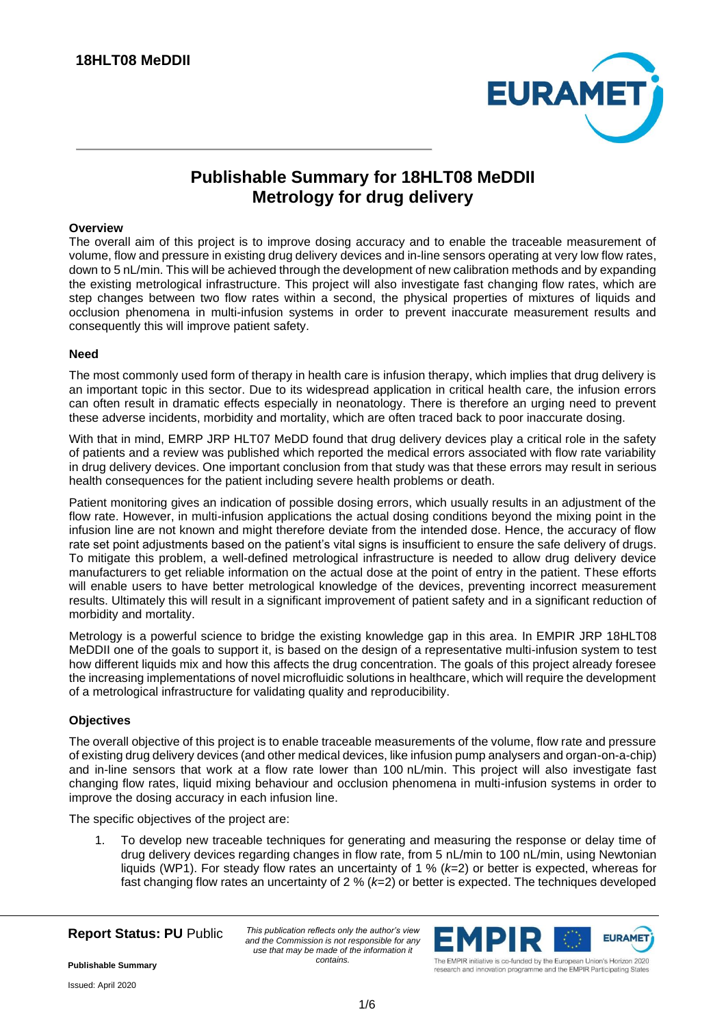

# **Publishable Summary for 18HLT08 MeDDII Metrology for drug delivery**

# **Overview**

The overall aim of this project is to improve dosing accuracy and to enable the traceable measurement of volume, flow and pressure in existing drug delivery devices and in-line sensors operating at very low flow rates, down to 5 nL/min. This will be achieved through the development of new calibration methods and by expanding the existing metrological infrastructure. This project will also investigate fast changing flow rates, which are step changes between two flow rates within a second, the physical properties of mixtures of liquids and occlusion phenomena in multi-infusion systems in order to prevent inaccurate measurement results and consequently this will improve patient safety.

## **Need**

The most commonly used form of therapy in health care is infusion therapy, which implies that drug delivery is an important topic in this sector. Due to its widespread application in critical health care, the infusion errors can often result in dramatic effects especially in neonatology. There is therefore an urging need to prevent these adverse incidents, morbidity and mortality, which are often traced back to poor inaccurate dosing.

With that in mind, EMRP JRP HLT07 MeDD found that drug delivery devices play a critical role in the safety of patients and a review was published which reported the medical errors associated with flow rate variability in drug delivery devices. One important conclusion from that study was that these errors may result in serious health consequences for the patient including severe health problems or death.

Patient monitoring gives an indication of possible dosing errors, which usually results in an adjustment of the flow rate. However, in multi-infusion applications the actual dosing conditions beyond the mixing point in the infusion line are not known and might therefore deviate from the intended dose. Hence, the accuracy of flow rate set point adjustments based on the patient's vital signs is insufficient to ensure the safe delivery of drugs. To mitigate this problem, a well-defined metrological infrastructure is needed to allow drug delivery device manufacturers to get reliable information on the actual dose at the point of entry in the patient. These efforts will enable users to have better metrological knowledge of the devices, preventing incorrect measurement results. Ultimately this will result in a significant improvement of patient safety and in a significant reduction of morbidity and mortality.

Metrology is a powerful science to bridge the existing knowledge gap in this area. In EMPIR JRP 18HLT08 MeDDII one of the goals to support it, is based on the design of a representative multi-infusion system to test how different liquids mix and how this affects the drug concentration. The goals of this project already foresee the increasing implementations of novel microfluidic solutions in healthcare, which will require the development of a metrological infrastructure for validating quality and reproducibility.

## **Objectives**

The overall objective of this project is to enable traceable measurements of the volume, flow rate and pressure of existing drug delivery devices (and other medical devices, like infusion pump analysers and organ-on-a-chip) and in-line sensors that work at a flow rate lower than 100 nL/min. This project will also investigate fast changing flow rates, liquid mixing behaviour and occlusion phenomena in multi-infusion systems in order to improve the dosing accuracy in each infusion line.

The specific objectives of the project are:

1. To develop new traceable techniques for generating and measuring the response or delay time of drug delivery devices regarding changes in flow rate, from 5 nL/min to 100 nL/min, using Newtonian liquids (WP1). For steady flow rates an uncertainty of 1 % (*k*=2) or better is expected, whereas for fast changing flow rates an uncertainty of 2 % (*k*=2) or better is expected. The techniques developed

**Report Status: PU** Public

*This publication reflects only the author's view and the Commission is not responsible for any use that may be made of the information it contains.*



research and innovation programme and the EMPIR Participating States

**Publishable Summary**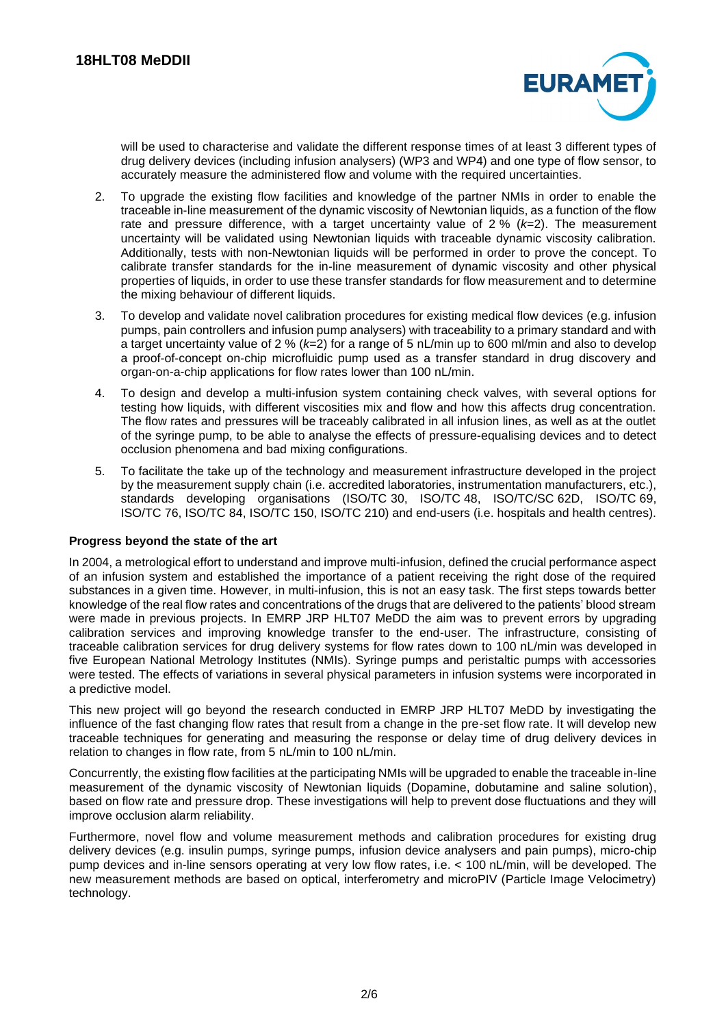

will be used to characterise and validate the different response times of at least 3 different types of drug delivery devices (including infusion analysers) (WP3 and WP4) and one type of flow sensor, to accurately measure the administered flow and volume with the required uncertainties.

- 2. To upgrade the existing flow facilities and knowledge of the partner NMIs in order to enable the traceable in-line measurement of the dynamic viscosity of Newtonian liquids, as a function of the flow rate and pressure difference, with a target uncertainty value of 2 % (*k*=2). The measurement uncertainty will be validated using Newtonian liquids with traceable dynamic viscosity calibration. Additionally, tests with non-Newtonian liquids will be performed in order to prove the concept. To calibrate transfer standards for the in-line measurement of dynamic viscosity and other physical properties of liquids, in order to use these transfer standards for flow measurement and to determine the mixing behaviour of different liquids.
- 3. To develop and validate novel calibration procedures for existing medical flow devices (e.g. infusion pumps, pain controllers and infusion pump analysers) with traceability to a primary standard and with a target uncertainty value of 2 % (*k*=2) for a range of 5 nL/min up to 600 ml/min and also to develop a proof-of-concept on-chip microfluidic pump used as a transfer standard in drug discovery and organ-on-a-chip applications for flow rates lower than 100 nL/min.
- 4. To design and develop a multi-infusion system containing check valves, with several options for testing how liquids, with different viscosities mix and flow and how this affects drug concentration. The flow rates and pressures will be traceably calibrated in all infusion lines, as well as at the outlet of the syringe pump, to be able to analyse the effects of pressure-equalising devices and to detect occlusion phenomena and bad mixing configurations.
- 5. To facilitate the take up of the technology and measurement infrastructure developed in the project by the measurement supply chain (i.e. accredited laboratories, instrumentation manufacturers, etc.), standards developing organisations (ISO/TC 30, ISO/TC 48, ISO/TC/SC 62D, ISO/TC 69, ISO/TC 76, ISO/TC 84, ISO/TC 150, ISO/TC 210) and end-users (i.e. hospitals and health centres).

## **Progress beyond the state of the art**

In 2004, a metrological effort to understand and improve multi-infusion, defined the crucial performance aspect of an infusion system and established the importance of a patient receiving the right dose of the required substances in a given time. However, in multi-infusion, this is not an easy task. The first steps towards better knowledge of the real flow rates and concentrations of the drugs that are delivered to the patients' blood stream were made in previous projects. In EMRP JRP HLT07 MeDD the aim was to prevent errors by upgrading calibration services and improving knowledge transfer to the end-user. The infrastructure, consisting of traceable calibration services for drug delivery systems for flow rates down to 100 nL/min was developed in five European National Metrology Institutes (NMIs). Syringe pumps and peristaltic pumps with accessories were tested. The effects of variations in several physical parameters in infusion systems were incorporated in a predictive model.

This new project will go beyond the research conducted in EMRP JRP HLT07 MeDD by investigating the influence of the fast changing flow rates that result from a change in the pre-set flow rate. It will develop new traceable techniques for generating and measuring the response or delay time of drug delivery devices in relation to changes in flow rate, from 5 nL/min to 100 nL/min.

Concurrently, the existing flow facilities at the participating NMIs will be upgraded to enable the traceable in-line measurement of the dynamic viscosity of Newtonian liquids (Dopamine, dobutamine and saline solution), based on flow rate and pressure drop. These investigations will help to prevent dose fluctuations and they will improve occlusion alarm reliability.

Furthermore, novel flow and volume measurement methods and calibration procedures for existing drug delivery devices (e.g. insulin pumps, syringe pumps, infusion device analysers and pain pumps), micro-chip pump devices and in-line sensors operating at very low flow rates, i.e. < 100 nL/min, will be developed. The new measurement methods are based on optical, interferometry and microPIV (Particle Image Velocimetry) technology.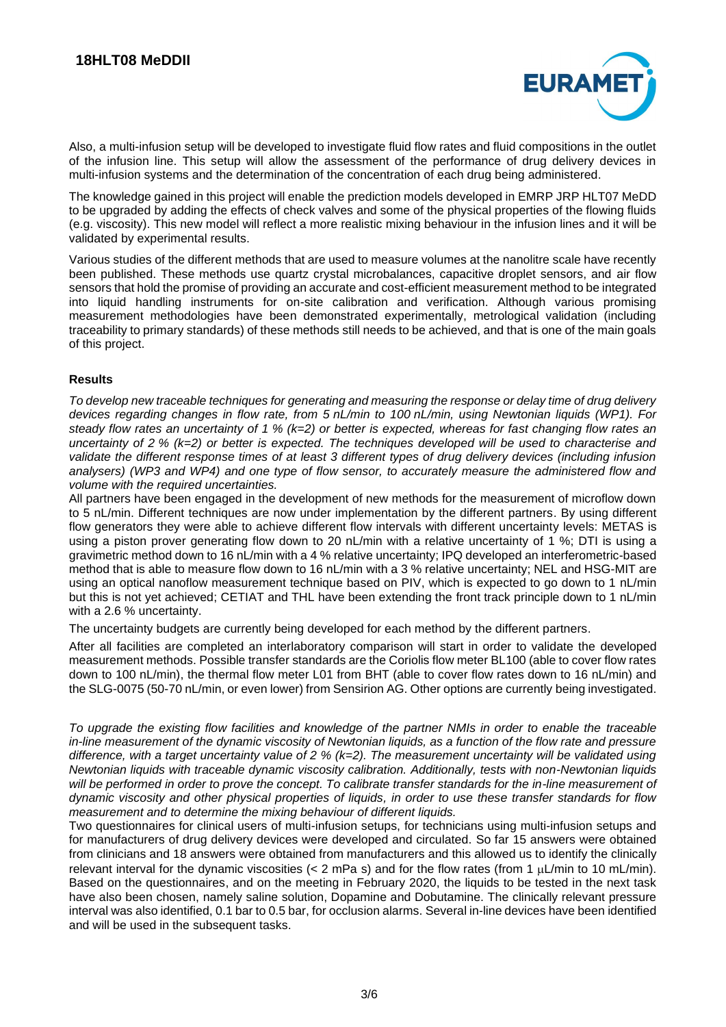

Also, a multi-infusion setup will be developed to investigate fluid flow rates and fluid compositions in the outlet of the infusion line. This setup will allow the assessment of the performance of drug delivery devices in multi-infusion systems and the determination of the concentration of each drug being administered.

The knowledge gained in this project will enable the prediction models developed in EMRP JRP HLT07 MeDD to be upgraded by adding the effects of check valves and some of the physical properties of the flowing fluids (e.g. viscosity). This new model will reflect a more realistic mixing behaviour in the infusion lines and it will be validated by experimental results.

Various studies of the different methods that are used to measure volumes at the nanolitre scale have recently been published. These methods use quartz crystal microbalances, capacitive droplet sensors, and air flow sensors that hold the promise of providing an accurate and cost-efficient measurement method to be integrated into liquid handling instruments for on-site calibration and verification. Although various promising measurement methodologies have been demonstrated experimentally, metrological validation (including traceability to primary standards) of these methods still needs to be achieved, and that is one of the main goals of this project.

# **Results**

*To develop new traceable techniques for generating and measuring the response or delay time of drug delivery devices regarding changes in flow rate, from 5 nL/min to 100 nL/min, using Newtonian liquids (WP1). For steady flow rates an uncertainty of 1 % (k=2) or better is expected, whereas for fast changing flow rates an uncertainty of 2 % (k=2) or better is expected. The techniques developed will be used to characterise and validate the different response times of at least 3 different types of drug delivery devices (including infusion analysers) (WP3 and WP4) and one type of flow sensor, to accurately measure the administered flow and volume with the required uncertainties.*

All partners have been engaged in the development of new methods for the measurement of microflow down to 5 nL/min. Different techniques are now under implementation by the different partners. By using different flow generators they were able to achieve different flow intervals with different uncertainty levels: METAS is using a piston prover generating flow down to 20 nL/min with a relative uncertainty of 1 %; DTI is using a gravimetric method down to 16 nL/min with a 4 % relative uncertainty; IPQ developed an interferometric-based method that is able to measure flow down to 16 nL/min with a 3 % relative uncertainty; NEL and HSG-MIT are using an optical nanoflow measurement technique based on PIV, which is expected to go down to 1 nL/min but this is not yet achieved; CETIAT and THL have been extending the front track principle down to 1 nL/min with a 2.6 % uncertainty.

The uncertainty budgets are currently being developed for each method by the different partners.

After all facilities are completed an interlaboratory comparison will start in order to validate the developed measurement methods. Possible transfer standards are the Coriolis flow meter BL100 (able to cover flow rates down to 100 nL/min), the thermal flow meter L01 from BHT (able to cover flow rates down to 16 nL/min) and the SLG-0075 (50-70 nL/min, or even lower) from Sensirion AG. Other options are currently being investigated.

*To upgrade the existing flow facilities and knowledge of the partner NMIs in order to enable the traceable in-line measurement of the dynamic viscosity of Newtonian liquids, as a function of the flow rate and pressure difference, with a target uncertainty value of 2 % (k=2). The measurement uncertainty will be validated using Newtonian liquids with traceable dynamic viscosity calibration. Additionally, tests with non-Newtonian liquids*  will be performed in order to prove the concept. To calibrate transfer standards for the in-line measurement of *dynamic viscosity and other physical properties of liquids, in order to use these transfer standards for flow measurement and to determine the mixing behaviour of different liquids.*

Two questionnaires for clinical users of multi-infusion setups, for technicians using multi-infusion setups and for manufacturers of drug delivery devices were developed and circulated. So far 15 answers were obtained from clinicians and 18 answers were obtained from manufacturers and this allowed us to identify the clinically relevant interval for the dynamic viscosities ( $<$  2 mPa s) and for the flow rates (from 1  $\mu$ L/min to 10 mL/min). Based on the questionnaires, and on the meeting in February 2020, the liquids to be tested in the next task have also been chosen, namely saline solution, Dopamine and Dobutamine. The clinically relevant pressure interval was also identified, 0.1 bar to 0.5 bar, for occlusion alarms. Several in-line devices have been identified and will be used in the subsequent tasks.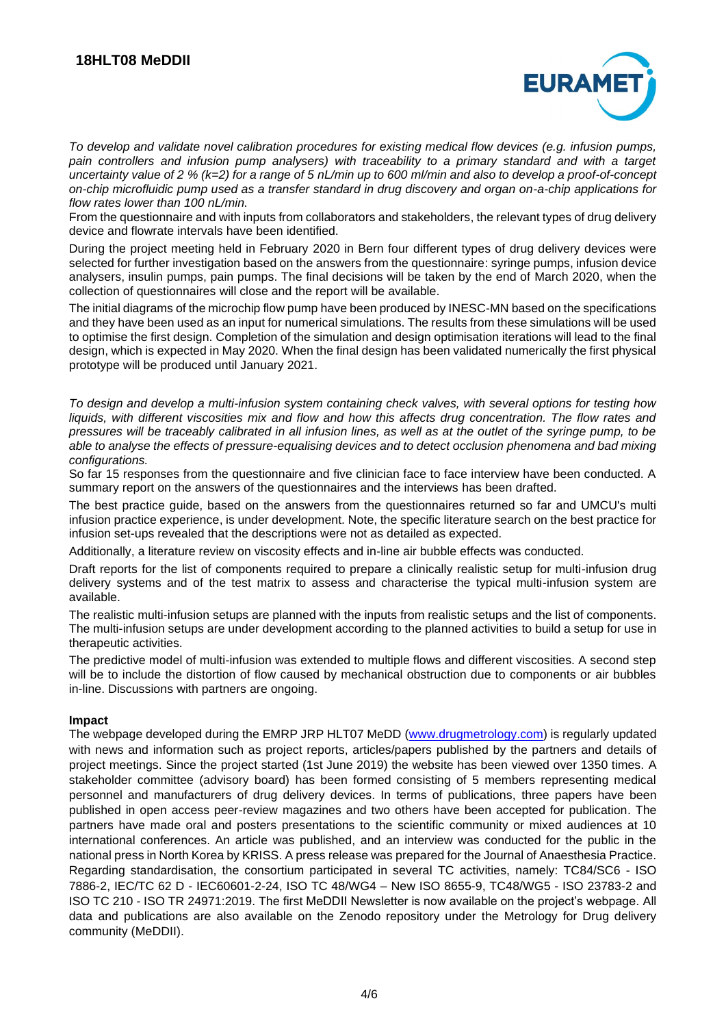

*To develop and validate novel calibration procedures for existing medical flow devices (e.g. infusion pumps, pain controllers and infusion pump analysers) with traceability to a primary standard and with a target uncertainty value of 2 % (k=2) for a range of 5 nL/min up to 600 ml/min and also to develop a proof-of-concept on-chip microfluidic pump used as a transfer standard in drug discovery and organ on-a-chip applications for flow rates lower than 100 nL/min.*

From the questionnaire and with inputs from collaborators and stakeholders, the relevant types of drug delivery device and flowrate intervals have been identified.

During the project meeting held in February 2020 in Bern four different types of drug delivery devices were selected for further investigation based on the answers from the questionnaire: syringe pumps, infusion device analysers, insulin pumps, pain pumps. The final decisions will be taken by the end of March 2020, when the collection of questionnaires will close and the report will be available.

The initial diagrams of the microchip flow pump have been produced by INESC-MN based on the specifications and they have been used as an input for numerical simulations. The results from these simulations will be used to optimise the first design. Completion of the simulation and design optimisation iterations will lead to the final design, which is expected in May 2020. When the final design has been validated numerically the first physical prototype will be produced until January 2021.

*To design and develop a multi-infusion system containing check valves, with several options for testing how liquids, with different viscosities mix and flow and how this affects drug concentration. The flow rates and pressures will be traceably calibrated in all infusion lines, as well as at the outlet of the syringe pump, to be able to analyse the effects of pressure-equalising devices and to detect occlusion phenomena and bad mixing configurations.*

So far 15 responses from the questionnaire and five clinician face to face interview have been conducted. A summary report on the answers of the questionnaires and the interviews has been drafted.

The best practice guide, based on the answers from the questionnaires returned so far and UMCU's multi infusion practice experience, is under development. Note, the specific literature search on the best practice for infusion set-ups revealed that the descriptions were not as detailed as expected.

Additionally, a literature review on viscosity effects and in-line air bubble effects was conducted.

Draft reports for the list of components required to prepare a clinically realistic setup for multi-infusion drug delivery systems and of the test matrix to assess and characterise the typical multi-infusion system are available.

The realistic multi-infusion setups are planned with the inputs from realistic setups and the list of components. The multi-infusion setups are under development according to the planned activities to build a setup for use in therapeutic activities.

The predictive model of multi-infusion was extended to multiple flows and different viscosities. A second step will be to include the distortion of flow caused by mechanical obstruction due to components or air bubbles in-line. Discussions with partners are ongoing.

# **Impact**

The webpage developed during the EMRP JRP HLT07 MeDD [\(www.drugmetrology.com\)](http://www.drugmetrology.com/) is regularly updated with news and information such as project reports, articles/papers published by the partners and details of project meetings. Since the project started (1st June 2019) the website has been viewed over 1350 times. A stakeholder committee (advisory board) has been formed consisting of 5 members representing medical personnel and manufacturers of drug delivery devices. In terms of publications, three papers have been published in open access peer-review magazines and two others have been accepted for publication. The partners have made oral and posters presentations to the scientific community or mixed audiences at 10 international conferences. An article was published, and an interview was conducted for the public in the national press in North Korea by KRISS. A press release was prepared for the Journal of Anaesthesia Practice. Regarding standardisation, the consortium participated in several TC activities, namely: TC84/SC6 - ISO 7886-2, IEC/TC 62 D - IEC60601-2-24, ISO TC 48/WG4 – New ISO 8655-9, TC48/WG5 - ISO 23783-2 and ISO TC 210 - ISO TR 24971:2019. The first MeDDII Newsletter is now available on the project's webpage. All data and publications are also available on the Zenodo repository under the Metrology for Drug delivery community (MeDDII).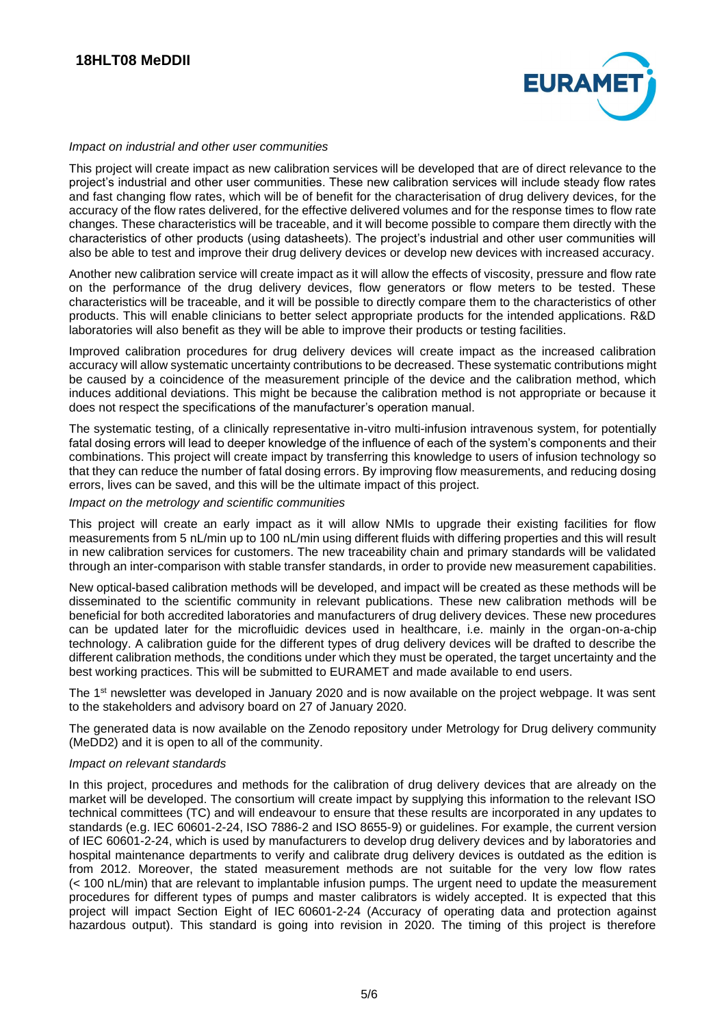

#### *Impact on industrial and other user communities*

This project will create impact as new calibration services will be developed that are of direct relevance to the project's industrial and other user communities. These new calibration services will include steady flow rates and fast changing flow rates, which will be of benefit for the characterisation of drug delivery devices, for the accuracy of the flow rates delivered, for the effective delivered volumes and for the response times to flow rate changes. These characteristics will be traceable, and it will become possible to compare them directly with the characteristics of other products (using datasheets). The project's industrial and other user communities will also be able to test and improve their drug delivery devices or develop new devices with increased accuracy.

Another new calibration service will create impact as it will allow the effects of viscosity, pressure and flow rate on the performance of the drug delivery devices, flow generators or flow meters to be tested. These characteristics will be traceable, and it will be possible to directly compare them to the characteristics of other products. This will enable clinicians to better select appropriate products for the intended applications. R&D laboratories will also benefit as they will be able to improve their products or testing facilities.

Improved calibration procedures for drug delivery devices will create impact as the increased calibration accuracy will allow systematic uncertainty contributions to be decreased. These systematic contributions might be caused by a coincidence of the measurement principle of the device and the calibration method, which induces additional deviations. This might be because the calibration method is not appropriate or because it does not respect the specifications of the manufacturer's operation manual.

The systematic testing, of a clinically representative in-vitro multi-infusion intravenous system, for potentially fatal dosing errors will lead to deeper knowledge of the influence of each of the system's components and their combinations. This project will create impact by transferring this knowledge to users of infusion technology so that they can reduce the number of fatal dosing errors. By improving flow measurements, and reducing dosing errors, lives can be saved, and this will be the ultimate impact of this project.

#### *Impact on the metrology and scientific communities*

This project will create an early impact as it will allow NMIs to upgrade their existing facilities for flow measurements from 5 nL/min up to 100 nL/min using different fluids with differing properties and this will result in new calibration services for customers. The new traceability chain and primary standards will be validated through an inter-comparison with stable transfer standards, in order to provide new measurement capabilities.

New optical-based calibration methods will be developed, and impact will be created as these methods will be disseminated to the scientific community in relevant publications. These new calibration methods will be beneficial for both accredited laboratories and manufacturers of drug delivery devices. These new procedures can be updated later for the microfluidic devices used in healthcare, i.e. mainly in the organ-on-a-chip technology. A calibration guide for the different types of drug delivery devices will be drafted to describe the different calibration methods, the conditions under which they must be operated, the target uncertainty and the best working practices. This will be submitted to EURAMET and made available to end users.

The 1<sup>st</sup> newsletter was developed in January 2020 and is now available on the project webpage. It was sent to the stakeholders and advisory board on 27 of January 2020.

The generated data is now available on the Zenodo repository under Metrology for Drug delivery community (MeDD2) and it is open to all of the community.

#### *Impact on relevant standards*

In this project, procedures and methods for the calibration of drug delivery devices that are already on the market will be developed. The consortium will create impact by supplying this information to the relevant ISO technical committees (TC) and will endeavour to ensure that these results are incorporated in any updates to standards (e.g. IEC 60601-2-24, ISO 7886-2 and ISO 8655-9) or guidelines. For example, the current version of IEC 60601-2-24, which is used by manufacturers to develop drug delivery devices and by laboratories and hospital maintenance departments to verify and calibrate drug delivery devices is outdated as the edition is from 2012. Moreover, the stated measurement methods are not suitable for the very low flow rates (< 100 nL/min) that are relevant to implantable infusion pumps. The urgent need to update the measurement procedures for different types of pumps and master calibrators is widely accepted. It is expected that this project will impact Section Eight of IEC 60601-2-24 (Accuracy of operating data and protection against hazardous output). This standard is going into revision in 2020. The timing of this project is therefore